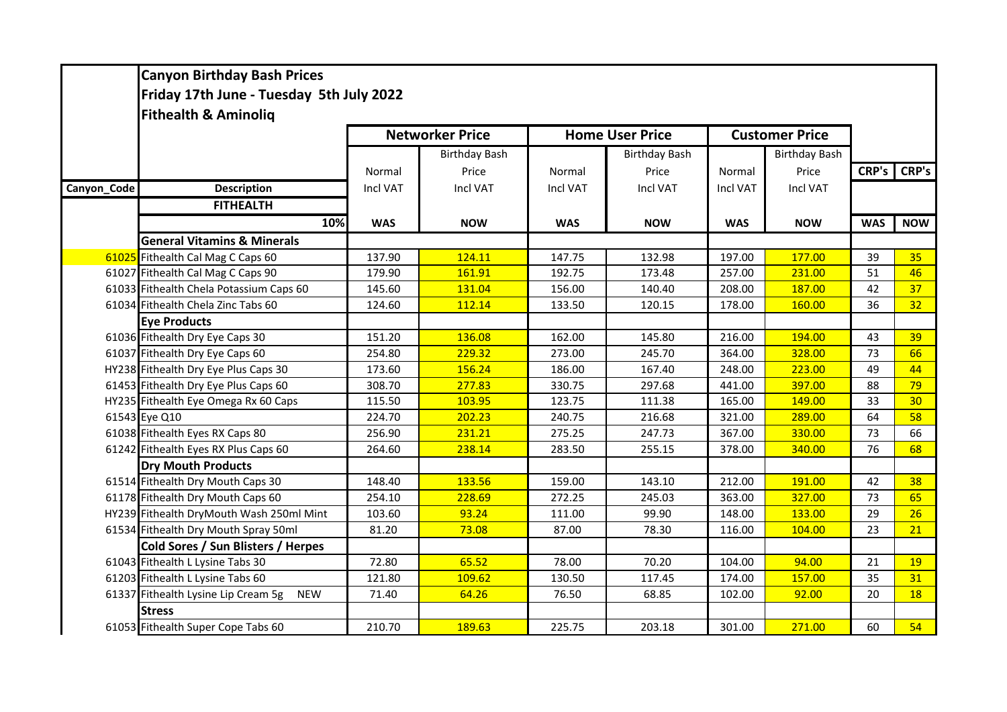|             | <b>Canyon Birthday Bash Prices</b>                |            |                        |                        |                      |                       |                      |            |                 |  |  |  |
|-------------|---------------------------------------------------|------------|------------------------|------------------------|----------------------|-----------------------|----------------------|------------|-----------------|--|--|--|
|             |                                                   |            |                        |                        |                      |                       |                      |            |                 |  |  |  |
|             | Friday 17th June - Tuesday 5th July 2022          |            |                        |                        |                      |                       |                      |            |                 |  |  |  |
|             | <b>Fithealth &amp; Aminolig</b>                   |            |                        |                        |                      |                       |                      |            |                 |  |  |  |
|             |                                                   |            | <b>Networker Price</b> | <b>Home User Price</b> |                      | <b>Customer Price</b> |                      |            |                 |  |  |  |
|             |                                                   |            | <b>Birthday Bash</b>   |                        | <b>Birthday Bash</b> |                       | <b>Birthday Bash</b> |            |                 |  |  |  |
|             |                                                   | Normal     | Price                  | Normal                 | Price                | Normal                | Price                | CRP's      | <b>CRP's</b>    |  |  |  |
| Canyon_Code | <b>Description</b>                                | Incl VAT   | Incl VAT               | Incl VAT               | Incl VAT             | <b>Incl VAT</b>       | Incl VAT             |            |                 |  |  |  |
|             | <b>FITHEALTH</b>                                  |            |                        |                        |                      |                       |                      |            |                 |  |  |  |
|             | 10%                                               | <b>WAS</b> | <b>NOW</b>             | <b>WAS</b>             | <b>NOW</b>           | <b>WAS</b>            | <b>NOW</b>           | <b>WAS</b> | <b>NOW</b>      |  |  |  |
|             | <b>General Vitamins &amp; Minerals</b>            |            |                        |                        |                      |                       |                      |            |                 |  |  |  |
|             | 61025 Fithealth Cal Mag C Caps 60                 | 137.90     | 124.11                 | 147.75                 | 132.98               | 197.00                | 177.00               | 39         | 35              |  |  |  |
|             | 61027 Fithealth Cal Mag C Caps 90                 | 179.90     | 161.91                 | 192.75                 | 173.48               | 257.00                | 231.00               | 51         | 46              |  |  |  |
|             | 61033 Fithealth Chela Potassium Caps 60           | 145.60     | 131.04                 | 156.00                 | 140.40               | 208.00                | 187.00               | 42         | 37              |  |  |  |
|             | 61034 Fithealth Chela Zinc Tabs 60                | 124.60     | 112.14                 | 133.50                 | 120.15               | 178.00                | 160.00               | 36         | 32              |  |  |  |
|             | <b>Eye Products</b>                               |            |                        |                        |                      |                       |                      |            |                 |  |  |  |
|             | 61036 Fithealth Dry Eye Caps 30                   | 151.20     | 136.08                 | 162.00                 | 145.80               | 216.00                | 194.00               | 43         | 39              |  |  |  |
|             | 61037 Fithealth Dry Eye Caps 60                   | 254.80     | 229.32                 | 273.00                 | 245.70               | 364.00                | 328.00               | 73         | 66              |  |  |  |
|             | HY238 Fithealth Dry Eye Plus Caps 30              | 173.60     | 156.24                 | 186.00                 | 167.40               | 248.00                | 223.00               | 49         | 44              |  |  |  |
|             | 61453 Fithealth Dry Eye Plus Caps 60              | 308.70     | 277.83                 | 330.75                 | 297.68               | 441.00                | 397.00               | 88         | 79              |  |  |  |
|             | HY235 Fithealth Eye Omega Rx 60 Caps              | 115.50     | 103.95                 | 123.75                 | 111.38               | 165.00                | 149.00               | 33         | 30 <sub>o</sub> |  |  |  |
|             | 61543 Eye Q10                                     | 224.70     | 202.23                 | 240.75                 | 216.68               | 321.00                | 289.00               | 64         | 58              |  |  |  |
|             | 61038 Fithealth Eyes RX Caps 80                   | 256.90     | 231.21                 | 275.25                 | 247.73               | 367.00                | 330.00               | 73         | 66              |  |  |  |
|             | 61242 Fithealth Eyes RX Plus Caps 60              | 264.60     | 238.14                 | 283.50                 | 255.15               | 378.00                | 340.00               | 76         | 68              |  |  |  |
|             | <b>Dry Mouth Products</b>                         |            |                        |                        |                      |                       |                      |            |                 |  |  |  |
|             | 61514 Fithealth Dry Mouth Caps 30                 | 148.40     | 133.56                 | 159.00                 | 143.10               | 212.00                | 191.00               | 42         | 38              |  |  |  |
|             | 61178 Fithealth Dry Mouth Caps 60                 | 254.10     | 228.69                 | 272.25                 | 245.03               | 363.00                | 327.00               | 73         | 65              |  |  |  |
|             | HY239 Fithealth DryMouth Wash 250ml Mint          | 103.60     | 93.24                  | 111.00                 | 99.90                | 148.00                | 133.00               | 29         | 26              |  |  |  |
|             | 61534 Fithealth Dry Mouth Spray 50ml              | 81.20      | 73.08                  | 87.00                  | 78.30                | 116.00                | 104.00               | 23         | 21              |  |  |  |
|             | Cold Sores / Sun Blisters / Herpes                |            |                        |                        |                      |                       |                      |            |                 |  |  |  |
|             | 61043 Fithealth L Lysine Tabs 30                  | 72.80      | 65.52                  | 78.00                  | 70.20                | 104.00                | 94.00                | 21         | 19              |  |  |  |
|             | 61203 Fithealth L Lysine Tabs 60                  | 121.80     | 109.62                 | 130.50                 | 117.45               | 174.00                | 157.00               | 35         | 31              |  |  |  |
|             | 61337 Fithealth Lysine Lip Cream 5g<br><b>NEW</b> | 71.40      | 64.26                  | 76.50                  | 68.85                | 102.00                | 92.00                | 20         | 18              |  |  |  |
|             | <b>Stress</b>                                     |            |                        |                        |                      |                       |                      |            |                 |  |  |  |
|             | 61053 Fithealth Super Cope Tabs 60                | 210.70     | 189.63                 | 225.75                 | 203.18               | 301.00                | 271.00               | 60         | 54              |  |  |  |